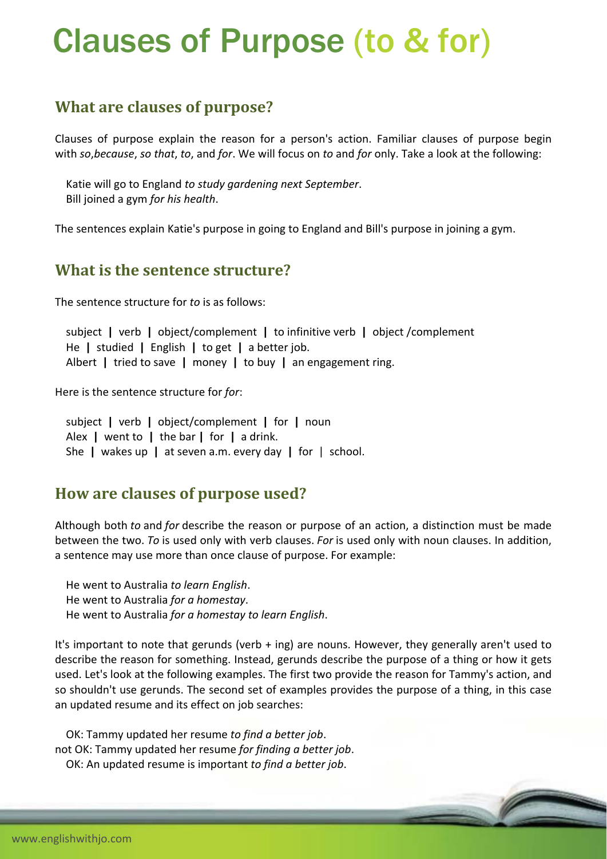# Clauses of Purpose (to & for)

# **What are clauses of purpose?**

Clauses of purpose explain the reason for a person's action. Familiar clauses of purpose begin with *so*,*because*, *so that*, *to*, and *for*. We will focus on *to* and *for* only. Take a look at the following:

 Katie will go to England *to study gardening next September*. Bill joined a gym *for his health*.

The sentences explain Katie's purpose in going to England and Bill's purpose in joining a gym.

### **What is the sentence structure?**

The sentence structure for *to* is as follows:

 subject **|** verb **|** object/complement **|** to infinitive verb **|** object /complement He **|** studied **|** English **|** to get **|** a better job. Albert **|** tried to save **|** money **|** to buy **|** an engagement ring.

Here is the sentence structure for *for*:

 subject **|** verb **|** object/complement **|** for **|** noun Alex **|** went to **|** the bar **|** for **|** a drink. She **|** wakes up **|** at seven a.m. every day **|** for | school.

### **How are clauses of purpose used?**

Although both *to* and *for* describe the reason or purpose of an action, a distinction must be made between the two. *To* is used only with verb clauses. *For* is used only with noun clauses. In addition, a sentence may use more than once clause of purpose. For example:

 He went to Australia *to learn English*. He went to Australia *for a homestay*. He went to Australia *for a homestay to learn English*.

It's important to note that gerunds (verb + ing) are nouns. However, they generally aren't used to describe the reason for something. Instead, gerunds describe the purpose of a thing or how it gets used. Let's look at the following examples. The first two provide the reason for Tammy's action, and so shouldn't use gerunds. The second set of examples provides the purpose of a thing, in this case an updated resume and its effect on job searches:

 OK: Tammy updated her resume *to find a better job*. not OK: Tammy updated her resume *for finding a better job*. OK: An updated resume is important *to find a better job*.